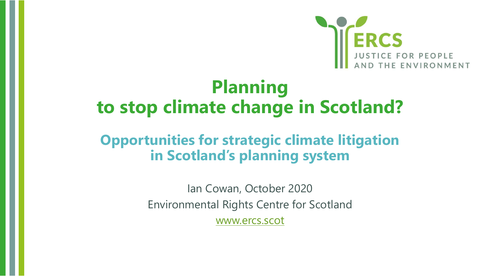

#### **Planning to stop climate change in Scotland?**

#### **Opportunities for strategic climate litigation in Scotland's planning system**

Ian Cowan, October 2020 Environmental Rights Centre for Scotland [www.ercs.scot](http://www.ercs.scot/)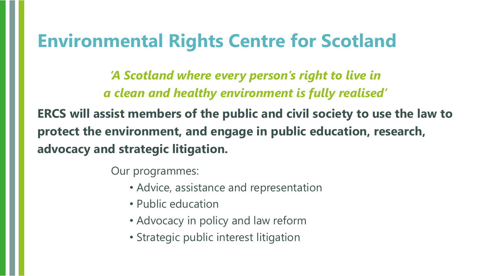#### **Environmental Rights Centre for Scotland**

*'A Scotland where every person's right to live in a clean and healthy environment is fully realised'* 

**ERCS will assist members of the public and civil society to use the law to protect the environment, and engage in public education, research, advocacy and strategic litigation.**

Our programmes:

- Advice, assistance and representation
- Public education
- Advocacy in policy and law reform
- Strategic public interest litigation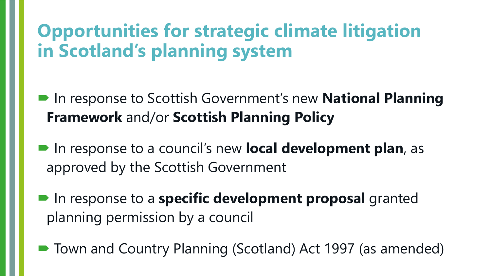## **Opportunities for strategic climate litigation in Scotland's planning system**

- In response to Scottish Government's new **National Planning Framework** and/or **Scottish Planning Policy**
- In response to a council's new **local development plan**, as approved by the Scottish Government
- In response to a **specific development proposal** granted planning permission by a council
- Town and Country Planning (Scotland) Act 1997 (as amended)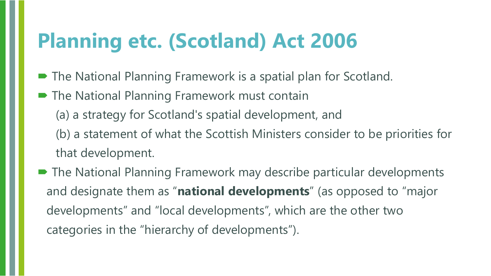## **Planning etc. (Scotland) Act 2006**

- The National Planning Framework is a spatial plan for Scotland.
- The National Planning Framework must contain
	- (a) a strategy for Scotland's spatial development, and
	- (b) a statement of what the Scottish Ministers consider to be priorities for that development.
- The National Planning Framework may describe particular developments and designate them as "**national developments**" (as opposed to "major developments" and "local developments", which are the other two categories in the "hierarchy of developments").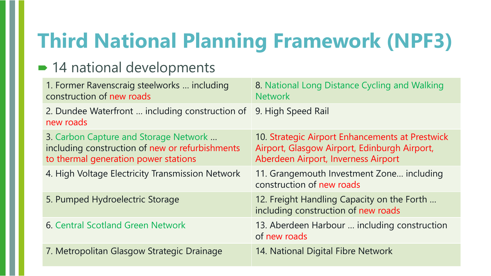# **Third National Planning Framework (NPF3)**

#### ■ 14 national developments

| 1. Former Ravenscraig steelworks  including<br>construction of new roads                                                         | 8. National Long Distance Cycling and Walking<br><b>Network</b>                                                                        |
|----------------------------------------------------------------------------------------------------------------------------------|----------------------------------------------------------------------------------------------------------------------------------------|
| 2. Dundee Waterfront  including construction of<br>new roads                                                                     | 9. High Speed Rail                                                                                                                     |
| 3. Carbon Capture and Storage Network<br>including construction of new or refurbishments<br>to thermal generation power stations | 10. Strategic Airport Enhancements at Prestwick<br>Airport, Glasgow Airport, Edinburgh Airport,<br>Aberdeen Airport, Inverness Airport |
| 4. High Voltage Electricity Transmission Network                                                                                 | 11. Grangemouth Investment Zone including<br>construction of new roads                                                                 |
| 5. Pumped Hydroelectric Storage                                                                                                  | 12. Freight Handling Capacity on the Forth<br>including construction of new roads                                                      |
| 6. Central Scotland Green Network                                                                                                | 13. Aberdeen Harbour  including construction<br>of new roads                                                                           |
| 7. Metropolitan Glasgow Strategic Drainage                                                                                       | 14. National Digital Fibre Network                                                                                                     |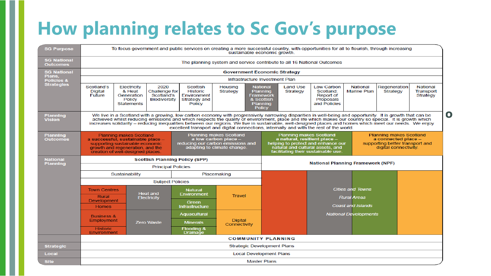## **How planning relates to Sc Gov's purpose**

| <b>SG Purpose</b>                | To focus government and public services on creating a more successful country, with opportunities for all to flourish, through increasing<br>sustainable economic growth.                                                                                                                                                                                                                                                                                                                                                                                                                 |                                                                    |                                                            |                                                                      |                                |                                                                                                                                                                                                                                                                                               |  |                             |                                                                   |                                       |                          |                                          |  |  |
|----------------------------------|-------------------------------------------------------------------------------------------------------------------------------------------------------------------------------------------------------------------------------------------------------------------------------------------------------------------------------------------------------------------------------------------------------------------------------------------------------------------------------------------------------------------------------------------------------------------------------------------|--------------------------------------------------------------------|------------------------------------------------------------|----------------------------------------------------------------------|--------------------------------|-----------------------------------------------------------------------------------------------------------------------------------------------------------------------------------------------------------------------------------------------------------------------------------------------|--|-----------------------------|-------------------------------------------------------------------|---------------------------------------|--------------------------|------------------------------------------|--|--|
| <b>SG National</b><br>Outcomes   | The planning system and service contribute to all 16 National Outcomes                                                                                                                                                                                                                                                                                                                                                                                                                                                                                                                    |                                                                    |                                                            |                                                                      |                                |                                                                                                                                                                                                                                                                                               |  |                             |                                                                   |                                       |                          |                                          |  |  |
| <b>SG National</b>               | <b>Government Economic Strategy</b>                                                                                                                                                                                                                                                                                                                                                                                                                                                                                                                                                       |                                                                    |                                                            |                                                                      |                                |                                                                                                                                                                                                                                                                                               |  |                             |                                                                   |                                       |                          |                                          |  |  |
| Plans.<br><b>Policies &amp;</b>  | Infrastructure Investment Plan                                                                                                                                                                                                                                                                                                                                                                                                                                                                                                                                                            |                                                                    |                                                            |                                                                      |                                |                                                                                                                                                                                                                                                                                               |  |                             |                                                                   |                                       |                          |                                          |  |  |
| <b>Strategies</b>                | Scotland's<br><b>Digital</b><br><b>Future</b>                                                                                                                                                                                                                                                                                                                                                                                                                                                                                                                                             | Electricity<br>& Heat<br>Generation<br>Policy<br><b>Statements</b> | 2020<br><b>Challenge for</b><br>Scotland's<br>Biodiversity | Scottish<br><b>Historic</b><br>Environment<br>Strategy and<br>Policy | Housing<br>Strategy            | <b>National</b><br><b>Planning</b><br><b>Framework</b><br>& Scottish<br><b>Planning</b><br><b>Policy</b>                                                                                                                                                                                      |  | <b>Land Use</b><br>Strategy | Low Carbon<br>Scotland:<br>Report of<br>Proposals<br>and Policies | <b>National</b><br><b>Marine Plan</b> | Regeneration<br>Strategy | <b>National</b><br>Transport<br>Strategy |  |  |
| <b>Planning</b><br><b>Vision</b> | $\mathbf O$<br>We live in a Scotland with a growing, low carbon economy with progressively narrowing disparities in well-being and opportunity. It is growth that can be<br>achieved whilst reducing emissions and which respects the quality of environment, place and life which makes our country so special. It is growth which<br>increases solidarity - reducing inequalities between our regions. We live in sustainable, well-designed places and homes which meet our needs. We enjoy<br>excellent transport and digital connections, internally and with the rest of the world. |                                                                    |                                                            |                                                                      |                                |                                                                                                                                                                                                                                                                                               |  |                             |                                                                   |                                       |                          |                                          |  |  |
| Planning<br><b>Outcomes</b>      | <b>Planning makes Scotland</b><br><b>Planning makes Scotland</b><br>a low carbon place -<br>a successful, sustainable place -<br>reducing our carbon emissions and<br>supporting sustainable economic<br>growth and regeneration, and the<br>adapting to climate change.<br>creation of well-designed places.                                                                                                                                                                                                                                                                             |                                                                    |                                                            |                                                                      |                                | Planning makes Scotland<br><b>Planning makes Scotland</b><br>a connected place -<br>a natural, resilient place -<br>helping to protect and enhance our<br>supporting better transport and<br>natural and cultural assets, and<br>digital connectivity.<br>facilitating their sustainable use. |  |                             |                                                                   |                                       |                          |                                          |  |  |
| <b>National</b>                  | <b>Scottish Planning Policy (SPP)</b>                                                                                                                                                                                                                                                                                                                                                                                                                                                                                                                                                     |                                                                    |                                                            |                                                                      |                                | <b>National Planning Framework (NPF)</b>                                                                                                                                                                                                                                                      |  |                             |                                                                   |                                       |                          |                                          |  |  |
| <b>Planning</b>                  | <b>Principal Policies</b>                                                                                                                                                                                                                                                                                                                                                                                                                                                                                                                                                                 |                                                                    |                                                            |                                                                      |                                |                                                                                                                                                                                                                                                                                               |  |                             |                                                                   |                                       |                          |                                          |  |  |
|                                  | Sustainability<br>Placemaking                                                                                                                                                                                                                                                                                                                                                                                                                                                                                                                                                             |                                                                    |                                                            |                                                                      |                                |                                                                                                                                                                                                                                                                                               |  |                             |                                                                   |                                       |                          |                                          |  |  |
|                                  |                                                                                                                                                                                                                                                                                                                                                                                                                                                                                                                                                                                           |                                                                    | <b>Subject Policies</b>                                    |                                                                      |                                |                                                                                                                                                                                                                                                                                               |  |                             |                                                                   |                                       |                          |                                          |  |  |
|                                  | <b>Town Centres</b>                                                                                                                                                                                                                                                                                                                                                                                                                                                                                                                                                                       |                                                                    | Heat and                                                   | <b>Natural</b><br><b>Environment</b><br>Green                        |                                |                                                                                                                                                                                                                                                                                               |  |                             |                                                                   | <b>Cities and Towns</b>               |                          |                                          |  |  |
|                                  | Rural<br><b>Development</b>                                                                                                                                                                                                                                                                                                                                                                                                                                                                                                                                                               |                                                                    | <b>Electricity</b>                                         |                                                                      | <b>Travel</b>                  |                                                                                                                                                                                                                                                                                               |  |                             |                                                                   | <b>Rural Areas</b>                    |                          |                                          |  |  |
|                                  | <b>Homes</b>                                                                                                                                                                                                                                                                                                                                                                                                                                                                                                                                                                              |                                                                    |                                                            | <b>Infrastructure</b>                                                |                                |                                                                                                                                                                                                                                                                                               |  |                             |                                                                   | <b>Coast and Islands</b>              |                          |                                          |  |  |
|                                  | <b>Business &amp;</b>                                                                                                                                                                                                                                                                                                                                                                                                                                                                                                                                                                     |                                                                    |                                                            | Aquacultural                                                         |                                |                                                                                                                                                                                                                                                                                               |  |                             | <b>National Developments</b>                                      |                                       |                          |                                          |  |  |
|                                  | Employment                                                                                                                                                                                                                                                                                                                                                                                                                                                                                                                                                                                |                                                                    | <b>Zero Waste</b>                                          | <b>Minerals</b>                                                      | <b>Digital</b><br>Connectivity |                                                                                                                                                                                                                                                                                               |  |                             |                                                                   |                                       |                          |                                          |  |  |
|                                  | <b>Historic</b><br>Environment                                                                                                                                                                                                                                                                                                                                                                                                                                                                                                                                                            |                                                                    |                                                            | <b>Flooding &amp;</b><br><b>Drainage</b>                             |                                |                                                                                                                                                                                                                                                                                               |  |                             |                                                                   |                                       |                          |                                          |  |  |
|                                  | <b>COMMUNITY PLANNING</b>                                                                                                                                                                                                                                                                                                                                                                                                                                                                                                                                                                 |                                                                    |                                                            |                                                                      |                                |                                                                                                                                                                                                                                                                                               |  |                             |                                                                   |                                       |                          |                                          |  |  |
| <b>Strategic</b>                 | <b>Strategic Development Plans</b>                                                                                                                                                                                                                                                                                                                                                                                                                                                                                                                                                        |                                                                    |                                                            |                                                                      |                                |                                                                                                                                                                                                                                                                                               |  |                             |                                                                   |                                       |                          |                                          |  |  |
| Local                            | <b>Local Development Plans</b>                                                                                                                                                                                                                                                                                                                                                                                                                                                                                                                                                            |                                                                    |                                                            |                                                                      |                                |                                                                                                                                                                                                                                                                                               |  |                             |                                                                   |                                       |                          |                                          |  |  |
| <b>Site</b>                      | <b>Master Plans</b>                                                                                                                                                                                                                                                                                                                                                                                                                                                                                                                                                                       |                                                                    |                                                            |                                                                      |                                |                                                                                                                                                                                                                                                                                               |  |                             |                                                                   |                                       |                          |                                          |  |  |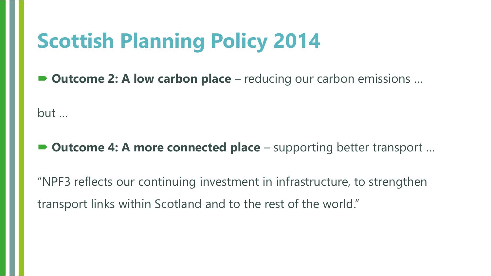## **Scottish Planning Policy 2014**

■ **Outcome 2: A low carbon place** – reducing our carbon emissions ...

but …

**Outcome 4: A more connected place** – supporting better transport ...

"NPF3 reflects our continuing investment in infrastructure, to strengthen transport links within Scotland and to the rest of the world."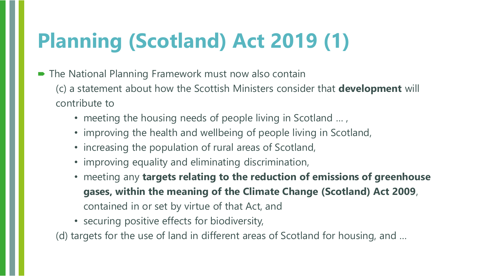# **Planning (Scotland) Act 2019 (1)**

- The National Planning Framework must now also contain (c) a statement about how the Scottish Ministers consider that **development** will contribute to
	- meeting the housing needs of people living in Scotland ...,
	- improving the health and wellbeing of people living in Scotland,
	- increasing the population of rural areas of Scotland,
	- improving equality and eliminating discrimination,
	- meeting any **targets relating to the reduction of emissions of greenhouse gases, within the meaning of the Climate Change (Scotland) Act 2009**, contained in or set by virtue of that Act, and
	- securing positive effects for biodiversity,

(d) targets for the use of land in different areas of Scotland for housing, and …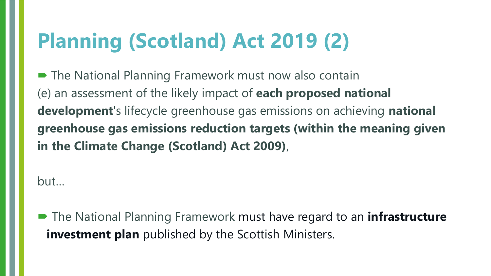# **Planning (Scotland) Act 2019 (2)**

■ The National Planning Framework must now also contain (e) an assessment of the likely impact of **each proposed national development**'s lifecycle greenhouse gas emissions on achieving **national greenhouse gas emissions reduction targets (within the meaning given in the Climate Change (Scotland) Act 2009)**,

but…

■ The National Planning Framework must have regard to an **infrastructure investment plan** published by the Scottish Ministers.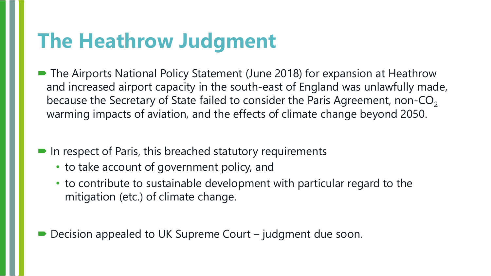## **The Heathrow Judgment**

- The Airports National Policy Statement (June 2018) for expansion at Heathrow and increased airport capacity in the south-east of England was unlawfully made, because the Secretary of State failed to consider the Paris Agreement, non-CO<sub>2</sub> warming impacts of aviation, and the effects of climate change beyond 2050.
- $\blacksquare$  In respect of Paris, this breached statutory requirements
	- to take account of government policy, and
	- to contribute to sustainable development with particular regard to the mitigation (etc.) of climate change.
- Decision appealed to UK Supreme Court judgment due soon.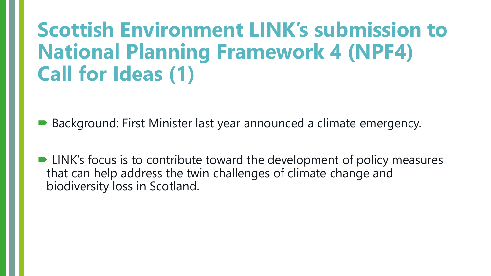## **Scottish Environment LINK's submission to National Planning Framework 4 (NPF4) Call for Ideas (1)**

Background: First Minister last year announced a climate emergency.

■ LINK's focus is to contribute toward the development of policy measures that can help address the twin challenges of climate change and biodiversity loss in Scotland.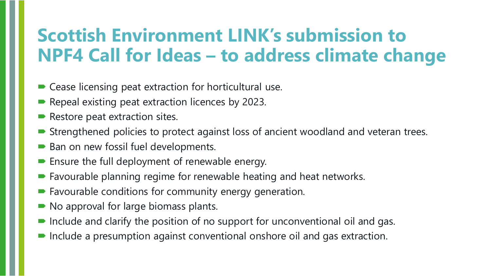#### **Scottish Environment LINK's submission to NPF4 Call for Ideas – to address climate change**

- Cease licensing peat extraction for horticultural use.
- Repeal existing peat extraction licences by 2023.
- $\blacktriangleright$  Restore peat extraction sites.
- Strengthened policies to protect against loss of ancient woodland and veteran trees.
- Ban on new fossil fuel developments.
- **Ensure the full deployment of renewable energy.**
- Favourable planning regime for renewable heating and heat networks.
- Favourable conditions for community energy generation.
- No approval for large biomass plants.
- Include and clarify the position of no support for unconventional oil and gas.
- Include a presumption against conventional onshore oil and gas extraction.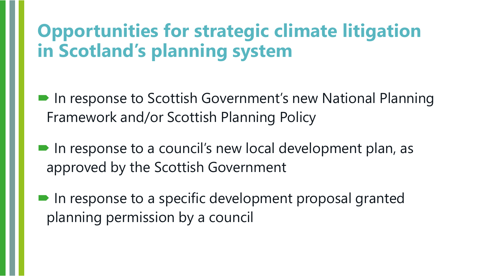## **Opportunities for strategic climate litigation in Scotland's planning system**

- In response to Scottish Government's new National Planning Framework and/or Scottish Planning Policy
- In response to a council's new local development plan, as approved by the Scottish Government
- In response to a specific development proposal granted planning permission by a council